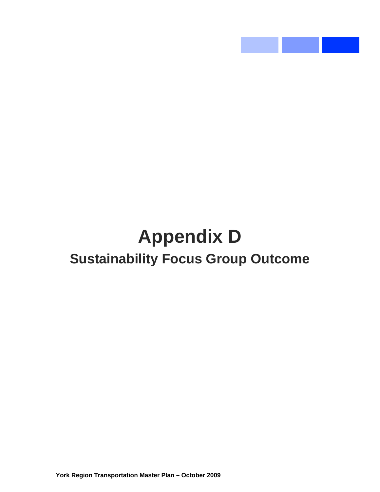# **Appendix D Sustainability Focus Group Outcome**

**STATE** 

**Service State**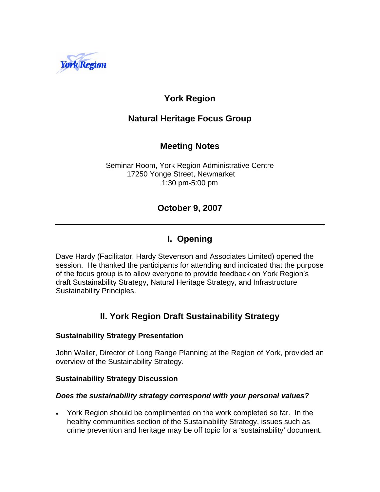

# **York Region**

## **Natural Heritage Focus Group**

## **Meeting Notes**

Seminar Room, York Region Administrative Centre 17250 Yonge Street, Newmarket 1:30 pm-5:00 pm

## **October 9, 2007**

## **I. Opening**

Dave Hardy (Facilitator, Hardy Stevenson and Associates Limited) opened the session. He thanked the participants for attending and indicated that the purpose of the focus group is to allow everyone to provide feedback on York Region's draft Sustainability Strategy, Natural Heritage Strategy, and Infrastructure Sustainability Principles.

## **II. York Region Draft Sustainability Strategy**

#### **Sustainability Strategy Presentation**

John Waller, Director of Long Range Planning at the Region of York, provided an overview of the Sustainability Strategy.

#### **Sustainability Strategy Discussion**

#### *Does the sustainability strategy correspond with your personal values?*

• York Region should be complimented on the work completed so far. In the healthy communities section of the Sustainability Strategy, issues such as crime prevention and heritage may be off topic for a 'sustainability' document.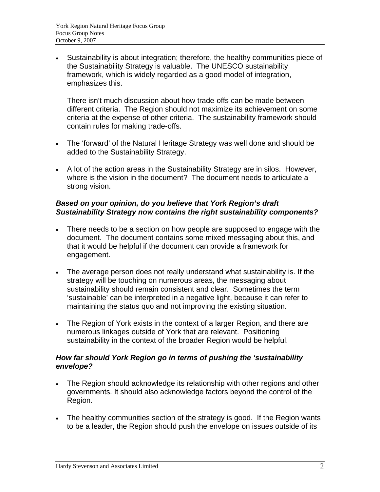• Sustainability is about integration; therefore, the healthy communities piece of the Sustainability Strategy is valuable. The UNESCO sustainability framework, which is widely regarded as a good model of integration, emphasizes this.

There isn't much discussion about how trade-offs can be made between different criteria. The Region should not maximize its achievement on some criteria at the expense of other criteria. The sustainability framework should contain rules for making trade-offs.

- The 'forward' of the Natural Heritage Strategy was well done and should be added to the Sustainability Strategy.
- A lot of the action areas in the Sustainability Strategy are in silos. However, where is the vision in the document? The document needs to articulate a strong vision.

#### *Based on your opinion, do you believe that York Region's draft Sustainability Strategy now contains the right sustainability components?*

- There needs to be a section on how people are supposed to engage with the document. The document contains some mixed messaging about this, and that it would be helpful if the document can provide a framework for engagement.
- The average person does not really understand what sustainability is. If the strategy will be touching on numerous areas, the messaging about sustainability should remain consistent and clear. Sometimes the term 'sustainable' can be interpreted in a negative light, because it can refer to maintaining the status quo and not improving the existing situation.
- The Region of York exists in the context of a larger Region, and there are numerous linkages outside of York that are relevant. Positioning sustainability in the context of the broader Region would be helpful.

#### *How far should York Region go in terms of pushing the 'sustainability envelope?*

- The Region should acknowledge its relationship with other regions and other governments. It should also acknowledge factors beyond the control of the Region.
- The healthy communities section of the strategy is good. If the Region wants to be a leader, the Region should push the envelope on issues outside of its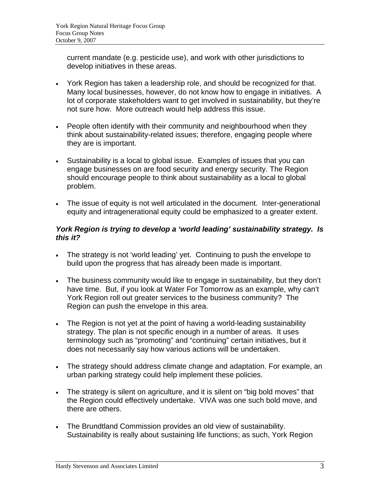current mandate (e.g. pesticide use), and work with other jurisdictions to develop initiatives in these areas.

- York Region has taken a leadership role, and should be recognized for that. Many local businesses, however, do not know how to engage in initiatives. A lot of corporate stakeholders want to get involved in sustainability, but they're not sure how. More outreach would help address this issue.
- People often identify with their community and neighbourhood when they think about sustainability-related issues; therefore, engaging people where they are is important.
- Sustainability is a local to global issue. Examples of issues that you can engage businesses on are food security and energy security. The Region should encourage people to think about sustainability as a local to global problem.
- The issue of equity is not well articulated in the document. Inter-generational equity and intragenerational equity could be emphasized to a greater extent.

#### *York Region is trying to develop a 'world leading' sustainability strategy. Is this it?*

- The strategy is not 'world leading' yet. Continuing to push the envelope to build upon the progress that has already been made is important.
- The business community would like to engage in sustainability, but they don't have time. But, if you look at Water For Tomorrow as an example, why can't York Region roll out greater services to the business community? The Region can push the envelope in this area.
- The Region is not yet at the point of having a world-leading sustainability strategy. The plan is not specific enough in a number of areas. It uses terminology such as "promoting" and "continuing" certain initiatives, but it does not necessarily say how various actions will be undertaken.
- The strategy should address climate change and adaptation. For example, an urban parking strategy could help implement these policies.
- The strategy is silent on agriculture, and it is silent on "big bold moves" that the Region could effectively undertake. VIVA was one such bold move, and there are others.
- The Brundtland Commission provides an old view of sustainability. Sustainability is really about sustaining life functions; as such, York Region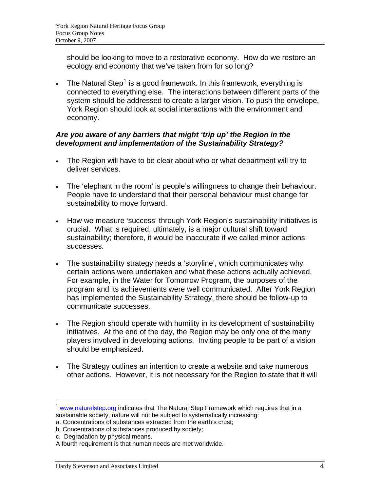should be looking to move to a restorative economy. How do we restore an ecology and economy that we've taken from for so long?

• The Natural Step<sup>[1](#page-4-0)</sup> is a good framework. In this framework, everything is connected to everything else. The interactions between different parts of the system should be addressed to create a larger vision. To push the envelope, York Region should look at social interactions with the environment and economy.

#### *Are you aware of any barriers that might 'trip up' the Region in the development and implementation of the Sustainability Strategy?*

- The Region will have to be clear about who or what department will try to deliver services.
- The 'elephant in the room' is people's willingness to change their behaviour. People have to understand that their personal behaviour must change for sustainability to move forward.
- How we measure 'success' through York Region's sustainability initiatives is crucial. What is required, ultimately, is a major cultural shift toward sustainability; therefore, it would be inaccurate if we called minor actions successes.
- The sustainability strategy needs a 'storyline', which communicates why certain actions were undertaken and what these actions actually achieved. For example, in the Water for Tomorrow Program, the purposes of the program and its achievements were well communicated. After York Region has implemented the Sustainability Strategy, there should be follow-up to communicate successes.
- The Region should operate with humility in its development of sustainability initiatives. At the end of the day, the Region may be only one of the many players involved in developing actions. Inviting people to be part of a vision should be emphasized.
- The Strategy outlines an intention to create a website and take numerous other actions. However, it is not necessary for the Region to state that it will

<span id="page-4-0"></span><sup>1</sup>  $<sup>1</sup>$  [www.naturalstep.org](http://www.naturalstep.org/) indicates that The Natural Step Framework which requires that in a</sup> sustainable society, nature will not be subject to systematically increasing:

a. Concentrations of substances extracted from the earth's crust;

b. Concentrations of substances produced by society;

c. Degradation by physical means.

A fourth requirement is that human needs are met worldwide.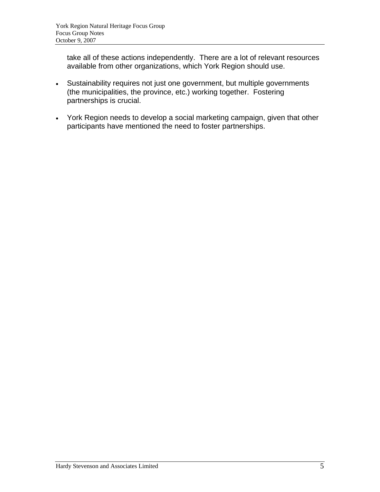take all of these actions independently. There are a lot of relevant resources available from other organizations, which York Region should use.

- Sustainability requires not just one government, but multiple governments (the municipalities, the province, etc.) working together. Fostering partnerships is crucial.
- York Region needs to develop a social marketing campaign, given that other participants have mentioned the need to foster partnerships.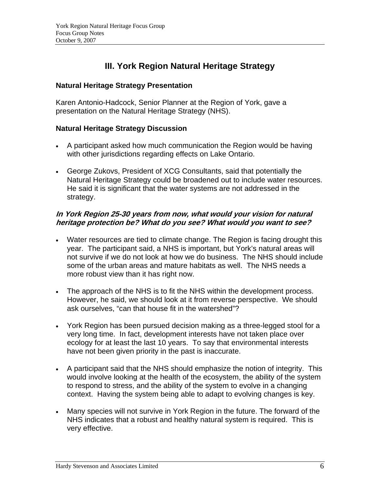## **III. York Region Natural Heritage Strategy**

#### **Natural Heritage Strategy Presentation**

Karen Antonio-Hadcock, Senior Planner at the Region of York, gave a presentation on the Natural Heritage Strategy (NHS).

#### **Natural Heritage Strategy Discussion**

- A participant asked how much communication the Region would be having with other jurisdictions regarding effects on Lake Ontario.
- George Zukovs, President of XCG Consultants, said that potentially the Natural Heritage Strategy could be broadened out to include water resources. He said it is significant that the water systems are not addressed in the strategy.

#### **In York Region 25-30 years from now, what would your vision for natural heritage protection be? What do you see? What would you want to see?**

- Water resources are tied to climate change. The Region is facing drought this year. The participant said, a NHS is important, but York's natural areas will not survive if we do not look at how we do business. The NHS should include some of the urban areas and mature habitats as well. The NHS needs a more robust view than it has right now.
- The approach of the NHS is to fit the NHS within the development process. However, he said, we should look at it from reverse perspective. We should ask ourselves, "can that house fit in the watershed"?
- York Region has been pursued decision making as a three-legged stool for a very long time. In fact, development interests have not taken place over ecology for at least the last 10 years. To say that environmental interests have not been given priority in the past is inaccurate.
- A participant said that the NHS should emphasize the notion of integrity. This would involve looking at the health of the ecosystem, the ability of the system to respond to stress, and the ability of the system to evolve in a changing context. Having the system being able to adapt to evolving changes is key.
- Many species will not survive in York Region in the future. The forward of the NHS indicates that a robust and healthy natural system is required. This is very effective.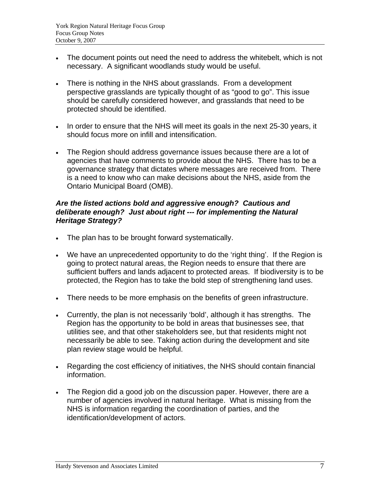- The document points out need the need to address the whitebelt, which is not necessary. A significant woodlands study would be useful.
- There is nothing in the NHS about grasslands. From a development perspective grasslands are typically thought of as "good to go". This issue should be carefully considered however, and grasslands that need to be protected should be identified.
- In order to ensure that the NHS will meet its goals in the next 25-30 years, it should focus more on infill and intensification.
- The Region should address governance issues because there are a lot of agencies that have comments to provide about the NHS. There has to be a governance strategy that dictates where messages are received from. There is a need to know who can make decisions about the NHS, aside from the Ontario Municipal Board (OMB).

#### *Are the listed actions bold and aggressive enough? Cautious and deliberate enough? Just about right --- for implementing the Natural Heritage Strategy?*

- The plan has to be brought forward systematically.
- We have an unprecedented opportunity to do the 'right thing'. If the Region is going to protect natural areas, the Region needs to ensure that there are sufficient buffers and lands adjacent to protected areas. If biodiversity is to be protected, the Region has to take the bold step of strengthening land uses.
- There needs to be more emphasis on the benefits of green infrastructure.
- Currently, the plan is not necessarily 'bold', although it has strengths. The Region has the opportunity to be bold in areas that businesses see, that utilities see, and that other stakeholders see, but that residents might not necessarily be able to see. Taking action during the development and site plan review stage would be helpful.
- Regarding the cost efficiency of initiatives, the NHS should contain financial information.
- The Region did a good job on the discussion paper. However, there are a number of agencies involved in natural heritage. What is missing from the NHS is information regarding the coordination of parties, and the identification/development of actors.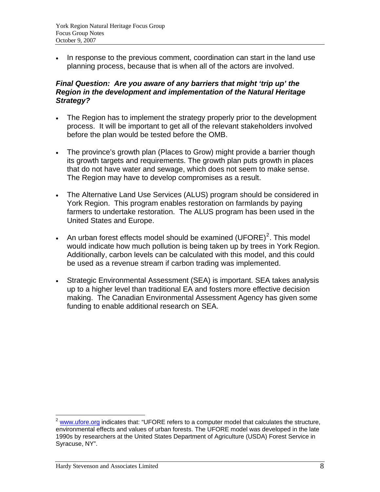• In response to the previous comment, coordination can start in the land use planning process, because that is when all of the actors are involved.

#### *Final Question: Are you aware of any barriers that might 'trip up' the Region in the development and implementation of the Natural Heritage Strategy?*

- The Region has to implement the strategy properly prior to the development process. It will be important to get all of the relevant stakeholders involved before the plan would be tested before the OMB.
- The province's growth plan (Places to Grow) might provide a barrier though its growth targets and requirements. The growth plan puts growth in places that do not have water and sewage, which does not seem to make sense. The Region may have to develop compromises as a result.
- The Alternative Land Use Services (ALUS) program should be considered in York Region. This program enables restoration on farmlands by paying farmers to undertake restoration. The ALUS program has been used in the United States and Europe.
- An urban forest effects model should be examined  $(U\text{FORE})^2$  $(U\text{FORE})^2$ . This model would indicate how much pollution is being taken up by trees in York Region. Additionally, carbon levels can be calculated with this model, and this could be used as a revenue stream if carbon trading was implemented.
- Strategic Environmental Assessment (SEA) is important. SEA takes analysis up to a higher level than traditional EA and fosters more effective decision making. The Canadian Environmental Assessment Agency has given some funding to enable additional research on SEA.

<span id="page-8-0"></span><sup>&</sup>lt;u>.</u>  $2$  [www.ufore.org](http://www.ufore.org/) indicates that: "UFORE refers to a computer model that calculates the structure, environmental effects and values of urban forests. The UFORE model was developed in the late 1990s by researchers at the United States Department of Agriculture (USDA) Forest Service in Syracuse, NY".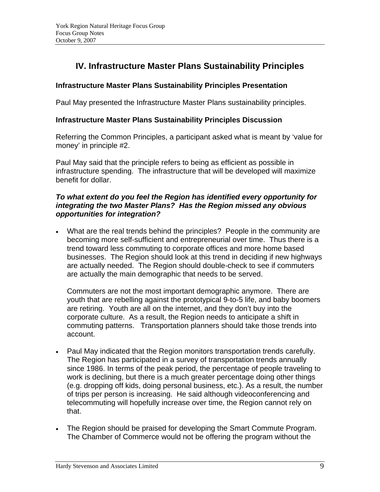# **IV. Infrastructure Master Plans Sustainability Principles**

#### **Infrastructure Master Plans Sustainability Principles Presentation**

Paul May presented the Infrastructure Master Plans sustainability principles.

#### **Infrastructure Master Plans Sustainability Principles Discussion**

Referring the Common Principles, a participant asked what is meant by 'value for money' in principle #2.

Paul May said that the principle refers to being as efficient as possible in infrastructure spending. The infrastructure that will be developed will maximize benefit for dollar.

#### *To what extent do you feel the Region has identified every opportunity for integrating the two Master Plans? Has the Region missed any obvious opportunities for integration?*

• What are the real trends behind the principles? People in the community are becoming more self-sufficient and entrepreneurial over time. Thus there is a trend toward less commuting to corporate offices and more home based businesses. The Region should look at this trend in deciding if new highways are actually needed. The Region should double-check to see if commuters are actually the main demographic that needs to be served.

Commuters are not the most important demographic anymore. There are youth that are rebelling against the prototypical 9-to-5 life, and baby boomers are retiring. Youth are all on the internet, and they don't buy into the corporate culture. As a result, the Region needs to anticipate a shift in commuting patterns. Transportation planners should take those trends into account.

- Paul May indicated that the Region monitors transportation trends carefully. The Region has participated in a survey of transportation trends annually since 1986. In terms of the peak period, the percentage of people traveling to work is declining, but there is a much greater percentage doing other things (e.g. dropping off kids, doing personal business, etc.). As a result, the number of trips per person is increasing. He said although videoconferencing and telecommuting will hopefully increase over time, the Region cannot rely on that.
- The Region should be praised for developing the Smart Commute Program. The Chamber of Commerce would not be offering the program without the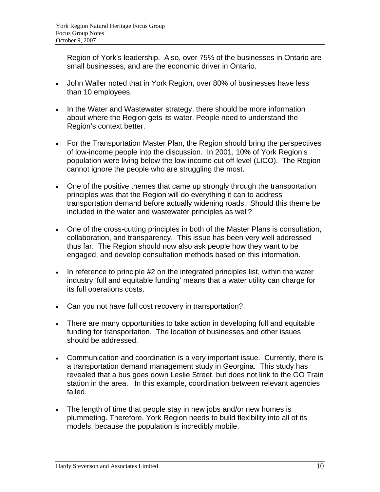Region of York's leadership. Also, over 75% of the businesses in Ontario are small businesses, and are the economic driver in Ontario.

- John Waller noted that in York Region, over 80% of businesses have less than 10 employees.
- In the Water and Wastewater strategy, there should be more information about where the Region gets its water. People need to understand the Region's context better.
- For the Transportation Master Plan, the Region should bring the perspectives of low-income people into the discussion. In 2001, 10% of York Region's population were living below the low income cut off level (LICO). The Region cannot ignore the people who are struggling the most.
- One of the positive themes that came up strongly through the transportation principles was that the Region will do everything it can to address transportation demand before actually widening roads. Should this theme be included in the water and wastewater principles as well?
- One of the cross-cutting principles in both of the Master Plans is consultation, collaboration, and transparency. This issue has been very well addressed thus far. The Region should now also ask people how they want to be engaged, and develop consultation methods based on this information.
- In reference to principle #2 on the integrated principles list, within the water industry 'full and equitable funding' means that a water utility can charge for its full operations costs.
- Can you not have full cost recovery in transportation?
- There are many opportunities to take action in developing full and equitable funding for transportation. The location of businesses and other issues should be addressed.
- Communication and coordination is a very important issue. Currently, there is a transportation demand management study in Georgina. This study has revealed that a bus goes down Leslie Street, but does not link to the GO Train station in the area. In this example, coordination between relevant agencies failed.
- The length of time that people stay in new jobs and/or new homes is plummeting. Therefore, York Region needs to build flexibility into all of its models, because the population is incredibly mobile.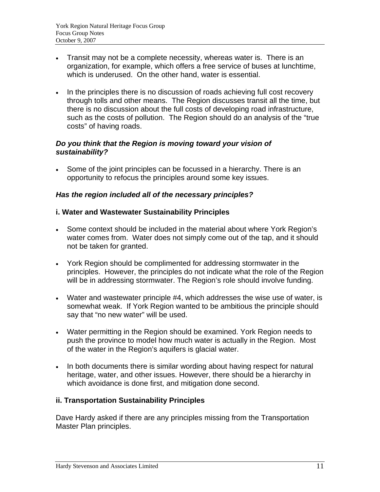- Transit may not be a complete necessity, whereas water is. There is an organization, for example, which offers a free service of buses at lunchtime, which is underused. On the other hand, water is essential.
- In the principles there is no discussion of roads achieving full cost recovery through tolls and other means. The Region discusses transit all the time, but there is no discussion about the full costs of developing road infrastructure, such as the costs of pollution. The Region should do an analysis of the "true costs" of having roads.

#### *Do you think that the Region is moving toward your vision of sustainability?*

• Some of the joint principles can be focussed in a hierarchy. There is an opportunity to refocus the principles around some key issues.

## *Has the region included all of the necessary principles?*

## **i. Water and Wastewater Sustainability Principles**

- Some context should be included in the material about where York Region's water comes from. Water does not simply come out of the tap, and it should not be taken for granted.
- York Region should be complimented for addressing stormwater in the principles. However, the principles do not indicate what the role of the Region will be in addressing stormwater. The Region's role should involve funding.
- Water and wastewater principle #4, which addresses the wise use of water, is somewhat weak. If York Region wanted to be ambitious the principle should say that "no new water" will be used.
- Water permitting in the Region should be examined. York Region needs to push the province to model how much water is actually in the Region. Most of the water in the Region's aquifers is glacial water.
- In both documents there is similar wording about having respect for natural heritage, water, and other issues. However, there should be a hierarchy in which avoidance is done first, and mitigation done second.

#### **ii. Transportation Sustainability Principles**

Dave Hardy asked if there are any principles missing from the Transportation Master Plan principles.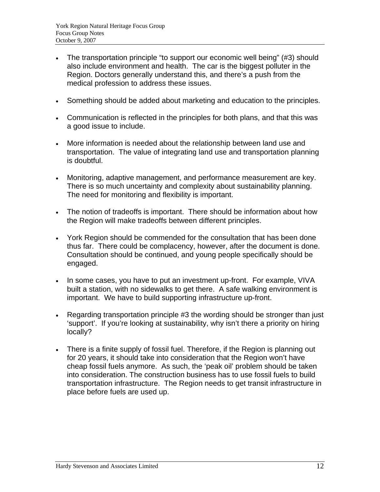- The transportation principle "to support our economic well being" (#3) should also include environment and health. The car is the biggest polluter in the Region. Doctors generally understand this, and there's a push from the medical profession to address these issues.
- Something should be added about marketing and education to the principles.
- Communication is reflected in the principles for both plans, and that this was a good issue to include.
- More information is needed about the relationship between land use and transportation. The value of integrating land use and transportation planning is doubtful.
- Monitoring, adaptive management, and performance measurement are key. There is so much uncertainty and complexity about sustainability planning. The need for monitoring and flexibility is important.
- The notion of tradeoffs is important. There should be information about how the Region will make tradeoffs between different principles.
- York Region should be commended for the consultation that has been done thus far. There could be complacency, however, after the document is done. Consultation should be continued, and young people specifically should be engaged.
- In some cases, you have to put an investment up-front. For example, VIVA built a station, with no sidewalks to get there. A safe walking environment is important. We have to build supporting infrastructure up-front.
- Regarding transportation principle #3 the wording should be stronger than just 'support'. If you're looking at sustainability, why isn't there a priority on hiring locally?
- There is a finite supply of fossil fuel. Therefore, if the Region is planning out for 20 years, it should take into consideration that the Region won't have cheap fossil fuels anymore. As such, the 'peak oil' problem should be taken into consideration. The construction business has to use fossil fuels to build transportation infrastructure. The Region needs to get transit infrastructure in place before fuels are used up.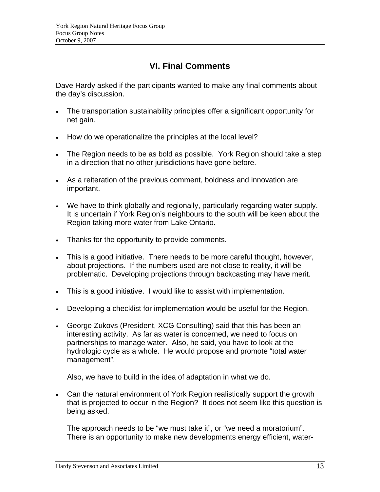# **VI. Final Comments**

Dave Hardy asked if the participants wanted to make any final comments about the day's discussion.

- The transportation sustainability principles offer a significant opportunity for net gain.
- How do we operationalize the principles at the local level?
- The Region needs to be as bold as possible. York Region should take a step in a direction that no other jurisdictions have gone before.
- As a reiteration of the previous comment, boldness and innovation are important.
- We have to think globally and regionally, particularly regarding water supply. It is uncertain if York Region's neighbours to the south will be keen about the Region taking more water from Lake Ontario.
- Thanks for the opportunity to provide comments.
- This is a good initiative. There needs to be more careful thought, however, about projections. If the numbers used are not close to reality, it will be problematic. Developing projections through backcasting may have merit.
- This is a good initiative. I would like to assist with implementation.
- Developing a checklist for implementation would be useful for the Region.
- George Zukovs (President, XCG Consulting) said that this has been an interesting activity. As far as water is concerned, we need to focus on partnerships to manage water. Also, he said, you have to look at the hydrologic cycle as a whole. He would propose and promote "total water management".

Also, we have to build in the idea of adaptation in what we do.

• Can the natural environment of York Region realistically support the growth that is projected to occur in the Region? It does not seem like this question is being asked.

The approach needs to be "we must take it", or "we need a moratorium". There is an opportunity to make new developments energy efficient, water